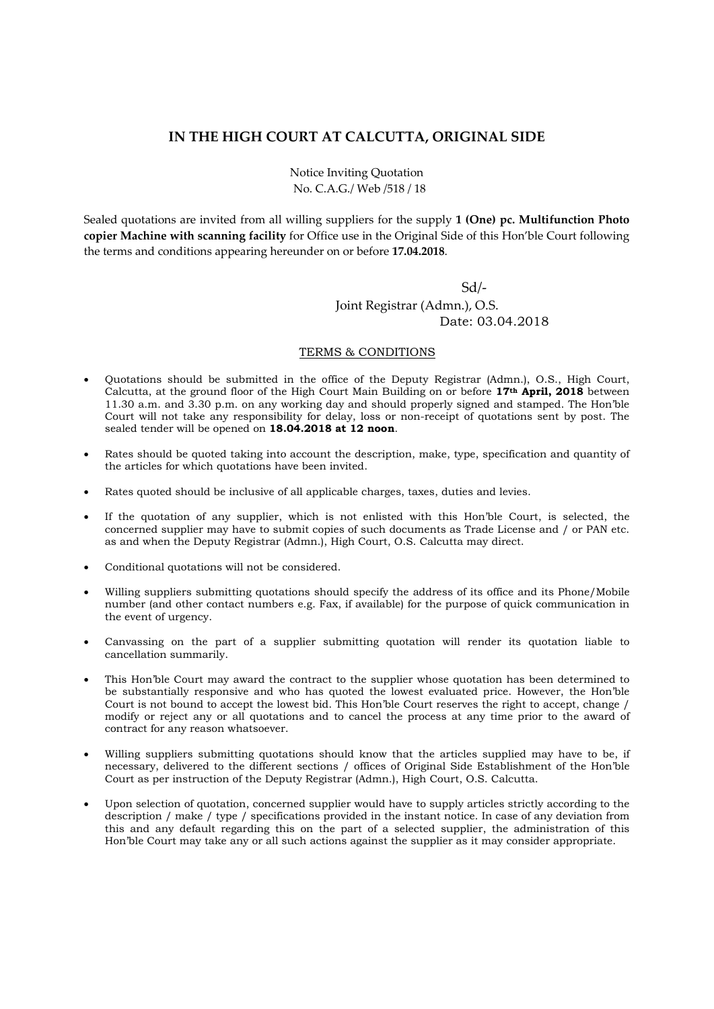## **IN THE HIGH COURT AT CALCUTTA, ORIGINAL SIDE**

Notice Inviting Quotation No. C.A.G./ Web /518 / 18

Sealed quotations are invited from all willing suppliers for the supply **1 (One) pc. Multifunction Photo copier Machine with scanning facility** for Office use in the Original Side of this Hon'ble Court following the terms and conditions appearing hereunder on or before **17.04.2018**.

 Sd/‐ Joint Registrar (Admn.), O.S. Date: 03.04.2018

## TERMS & CONDITIONS

- Quotations should be submitted in the office of the Deputy Registrar (Admn.), O.S., High Court, Calcutta, at the ground floor of the High Court Main Building on or before **17th April, 2018** between 11.30 a.m. and 3.30 p.m. on any working day and should properly signed and stamped. The Hon'ble Court will not take any responsibility for delay, loss or non-receipt of quotations sent by post. The sealed tender will be opened on **18.04.2018 at 12 noon**.
- Rates should be quoted taking into account the description, make, type, specification and quantity of the articles for which quotations have been invited.
- Rates quoted should be inclusive of all applicable charges, taxes, duties and levies.
- If the quotation of any supplier, which is not enlisted with this Hon'ble Court, is selected, the concerned supplier may have to submit copies of such documents as Trade License and / or PAN etc. as and when the Deputy Registrar (Admn.), High Court, O.S. Calcutta may direct.
- Conditional quotations will not be considered.
- Willing suppliers submitting quotations should specify the address of its office and its Phone/Mobile number (and other contact numbers e.g. Fax, if available) for the purpose of quick communication in the event of urgency.
- Canvassing on the part of a supplier submitting quotation will render its quotation liable to cancellation summarily.
- This Hon'ble Court may award the contract to the supplier whose quotation has been determined to be substantially responsive and who has quoted the lowest evaluated price. However, the Hon'ble Court is not bound to accept the lowest bid. This Hon'ble Court reserves the right to accept, change / modify or reject any or all quotations and to cancel the process at any time prior to the award of contract for any reason whatsoever.
- Willing suppliers submitting quotations should know that the articles supplied may have to be, if necessary, delivered to the different sections / offices of Original Side Establishment of the Hon'ble Court as per instruction of the Deputy Registrar (Admn.), High Court, O.S. Calcutta.
- Upon selection of quotation, concerned supplier would have to supply articles strictly according to the description / make / type / specifications provided in the instant notice. In case of any deviation from this and any default regarding this on the part of a selected supplier, the administration of this Hon'ble Court may take any or all such actions against the supplier as it may consider appropriate.